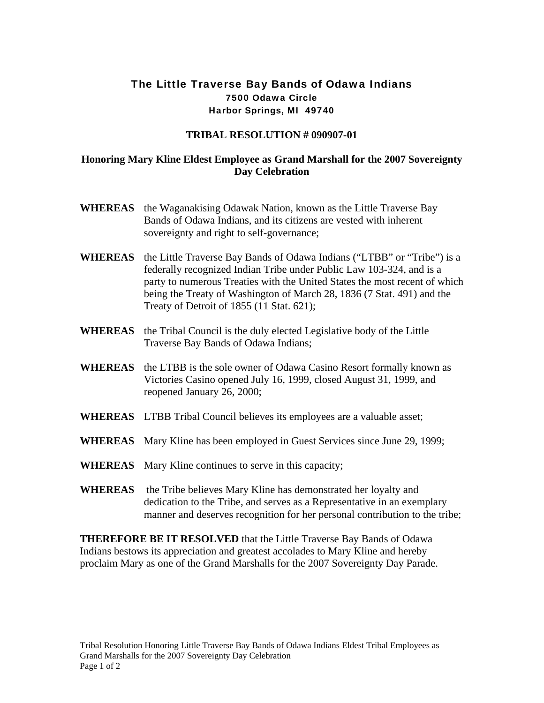## The Little Traverse Bay Bands of Odawa Indians 7500 Odawa Circle Harbor Springs, MI 49740

## **TRIBAL RESOLUTION # 090907-01**

## **Honoring Mary Kline Eldest Employee as Grand Marshall for the 2007 Sovereignty Day Celebration**

- **WHEREAS** the Waganakising Odawak Nation, known as the Little Traverse Bay Bands of Odawa Indians, and its citizens are vested with inherent sovereignty and right to self-governance;
- **WHEREAS** the Little Traverse Bay Bands of Odawa Indians ("LTBB" or "Tribe") is a federally recognized Indian Tribe under Public Law 103-324, and is a party to numerous Treaties with the United States the most recent of which being the Treaty of Washington of March 28, 1836 (7 Stat. 491) and the Treaty of Detroit of 1855 (11 Stat. 621);
- **WHEREAS** the Tribal Council is the duly elected Legislative body of the Little Traverse Bay Bands of Odawa Indians;
- **WHEREAS** the LTBB is the sole owner of Odawa Casino Resort formally known as Victories Casino opened July 16, 1999, closed August 31, 1999, and reopened January 26, 2000;
- **WHEREAS** LTBB Tribal Council believes its employees are a valuable asset;
- **WHEREAS** Mary Kline has been employed in Guest Services since June 29, 1999;
- **WHEREAS** Mary Kline continues to serve in this capacity;
- **WHEREAS** the Tribe believes Mary Kline has demonstrated her loyalty and dedication to the Tribe, and serves as a Representative in an exemplary manner and deserves recognition for her personal contribution to the tribe;

**THEREFORE BE IT RESOLVED** that the Little Traverse Bay Bands of Odawa Indians bestows its appreciation and greatest accolades to Mary Kline and hereby proclaim Mary as one of the Grand Marshalls for the 2007 Sovereignty Day Parade.